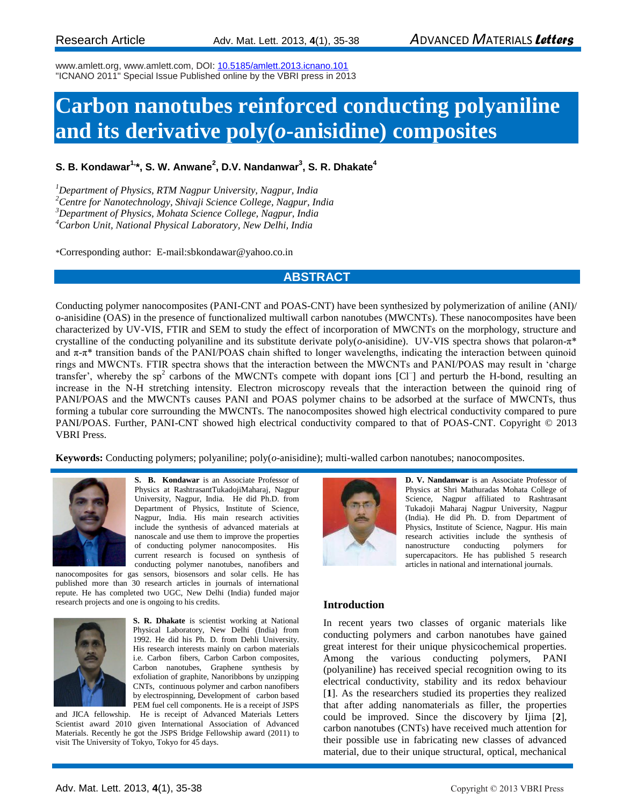www.amlett.org, www.amlett.com, DOI: [10.5185/amlett.2013.icnano.101](http://dx.doi.org/10.5185/amlett.2013.icnano.101)  "ICNANO 2011" Special Issue Published online by the VBRI press in 2013

# **Carbon nanotubes reinforced conducting polyaniline and its derivative poly(***o***-anisidine) composites**

# **S. B. Kondawar1,\*, S. W. Anwane<sup>2</sup> , D.V. Nandanwar<sup>3</sup> , S. R. Dhakate<sup>4</sup>**

*Department of Physics, RTM Nagpur University, Nagpur, India Centre for Nanotechnology, Shivaji Science College, Nagpur, India Department of Physics, Mohata Science College, Nagpur, India Carbon Unit, National Physical Laboratory, New Delhi, India*

\*Corresponding author: E-mail[:sbkondawar@yahoo.co.in](mailto:sbkondawar@yahoo.co.in)

### **ABSTRACT**

Conducting polymer nanocomposites (PANI-CNT and POAS-CNT) have been synthesized by polymerization of aniline (ANI)/ o-anisidine (OAS) in the presence of functionalized multiwall carbon nanotubes (MWCNTs). These nanocomposites have been characterized by UV-VIS, FTIR and SEM to study the effect of incorporation of MWCNTs on the morphology, structure and crystalline of the conducting polyaniline and its substitute derivate poly(*o*-anisidine). UV-VIS spectra shows that polaron-π\* and  $\pi$ -π<sup>\*</sup> transition bands of the PANI/POAS chain shifted to longer wavelengths, indicating the interaction between quinoid rings and MWCNTs. FTIR spectra shows that the interaction between the MWCNTs and PANI/POAS may result in 'charge transfer', whereby the  $sp<sup>2</sup>$  carbons of the MWCNTs compete with dopant ions [Cl<sup>-</sup>] and perturb the H-bond, resulting an increase in the N-H stretching intensity. Electron microscopy reveals that the interaction between the quinoid ring of PANI/POAS and the MWCNTs causes PANI and POAS polymer chains to be adsorbed at the surface of MWCNTs, thus forming a tubular core surrounding the MWCNTs. The nanocomposites showed high electrical conductivity compared to pure PANI/POAS. Further, PANI-CNT showed high electrical conductivity compared to that of POAS-CNT. Copyright © 2013 VBRI Press.

**Keywords:** Conducting polymers; polyaniline; poly(*o*-anisidine); multi-walled carbon nanotubes; nanocomposites.



**S. B. Kondawar** is an Associate Professor of Physics at RashtrasantTukadojiMaharaj, Nagpur University, Nagpur, India. He did Ph.D. from Department of Physics, Institute of Science, Nagpur, India. His main research activities include the synthesis of advanced materials at nanoscale and use them to improve the properties of conducting polymer nanocomposites. His current research is focused on synthesis of conducting polymer nanotubes, nanofibers and

nanocomposites for gas sensors, biosensors and solar cells. He has published more than 30 research articles in journals of international repute. He has completed two UGC, New Delhi (India) funded major research projects and one is ongoing to his credits.



**S. R. Dhakate** is scientist working at National Physical Laboratory, New Delhi (India) from 1992. He did his Ph. D. from Dehli University. His research interests mainly on carbon materials i.e. Carbon fibers, Carbon Carbon composites, Carbon nanotubes, Graphene synthesis by exfoliation of graphite, Nanoribbons by unzipping CNTs, continuous polymer and carbon nanofibers by electrospinning, Development of carbon based PEM fuel cell components. He is a receipt of JSPS

and JICA fellowship. He is receipt of Advanced Materials Letters Scientist award 2010 given International Association of Advanced Materials. Recently he got the JSPS Bridge Fellowship award (2011) to visit The University of Tokyo, Tokyo for 45 days.



**D. V. Nandanwar** is an Associate Professor of Physics at Shri Mathuradas Mohata College of Science, Nagpur affiliated to Rashtrasant Tukadoji Maharaj Nagpur University, Nagpur (India). He did Ph. D. from Department of Physics, Institute of Science, Nagpur. His main research activities include the synthesis of nanostructure conducting polymers for supercapacitors. He has published 5 research articles in national and international journals.

#### **Introduction**

In recent years two classes of organic materials like conducting polymers and carbon nanotubes have gained great interest for their unique physicochemical properties. Among the various conducting polymers, PANI (polyaniline) has received special recognition owing to its electrical conductivity, stability and its redox behaviour [**1**]. As the researchers studied its properties they realized that after adding nanomaterials as filler, the properties could be improved. Since the discovery by Ijima [**2**], carbon nanotubes (CNTs) have received much attention for their possible use in fabricating new classes of advanced material, due to their unique structural, optical, mechanical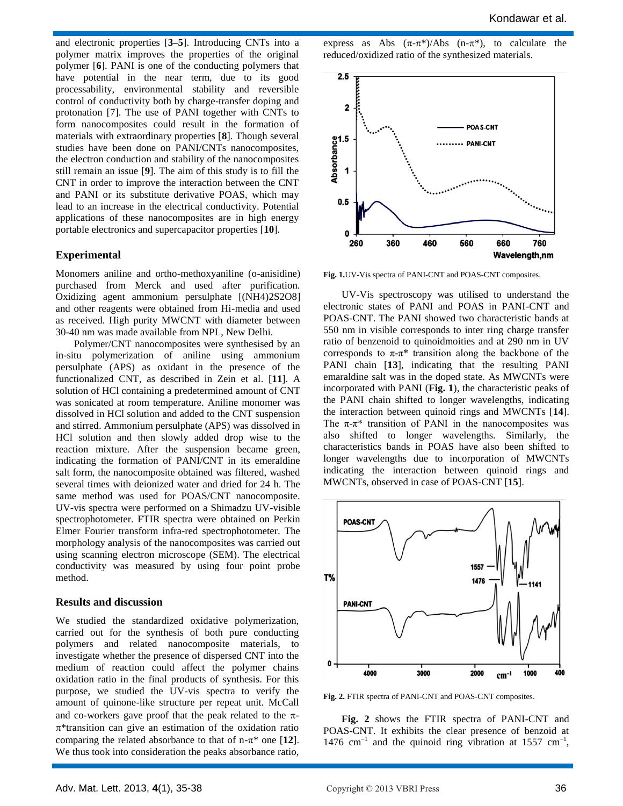and electronic properties [**3–5**]. Introducing CNTs into a polymer matrix improves the properties of the original polymer [**6**]. PANI is one of the conducting polymers that have potential in the near term, due to its good processability, environmental stability and reversible control of conductivity both by charge-transfer doping and protonation [7]. The use of PANI together with CNTs to form nanocomposites could result in the formation of materials with extraordinary properties [**8**]. Though several studies have been done on PANI/CNTs nanocomposites, the electron conduction and stability of the nanocomposites still remain an issue [**9**]. The aim of this study is to fill the CNT in order to improve the interaction between the CNT and PANI or its substitute derivative POAS, which may lead to an increase in the electrical conductivity. Potential applications of these nanocomposites are in high energy portable electronics and supercapacitor properties [**10**].

#### **Experimental**

Monomers aniline and ortho-methoxyaniline (o-anisidine) purchased from Merck and used after purification. Oxidizing agent ammonium persulphate [(NH4)2S2O8] and other reagents were obtained from Hi-media and used as received. High purity MWCNT with diameter between 30-40 nm was made available from NPL, New Delhi.

Polymer/CNT nanocomposites were synthesised by an in-situ polymerization of aniline using ammonium persulphate (APS) as oxidant in the presence of the functionalized CNT, as described in Zein et al. [**11**]. A solution of HCl containing a predetermined amount of CNT was sonicated at room temperature. Aniline monomer was dissolved in HCl solution and added to the CNT suspension and stirred. Ammonium persulphate (APS) was dissolved in HCl solution and then slowly added drop wise to the reaction mixture. After the suspension became green, indicating the formation of PANI/CNT in its emeraldine salt form, the nanocomposite obtained was filtered, washed several times with deionized water and dried for 24 h. The same method was used for POAS/CNT nanocomposite. UV-vis spectra were performed on a Shimadzu UV-visible spectrophotometer. FTIR spectra were obtained on Perkin Elmer Fourier transform infra-red spectrophotometer. The morphology analysis of the nanocomposites was carried out using scanning electron microscope (SEM). The electrical conductivity was measured by using four point probe method.

#### **Results and discussion**

We studied the standardized oxidative polymerization, carried out for the synthesis of both pure conducting polymers and related nanocomposite materials, to investigate whether the presence of dispersed CNT into the medium of reaction could affect the polymer chains oxidation ratio in the final products of synthesis. For this purpose, we studied the UV-vis spectra to verify the amount of quinone-like structure per repeat unit. McCall and co-workers gave proof that the peak related to the  $\pi$ - $\pi^*$ transition can give an estimation of the oxidation ratio comparing the related absorbance to that of  $n-\pi^*$  one [12]. We thus took into consideration the peaks absorbance ratio,

express as Abs  $(\pi-\pi^*)/Abs$  (n- $\pi^*$ ), to calculate the reduced/oxidized ratio of the synthesized materials.



**Fig. 1.**UV-Vis spectra of PANI-CNT and POAS-CNT composites.

UV-Vis spectroscopy was utilised to understand the electronic states of PANI and POAS in PANI-CNT and POAS-CNT. The PANI showed two characteristic bands at 550 nm in visible corresponds to inter ring charge transfer ratio of benzenoid to quinoidmoities and at 290 nm in UV corresponds to  $\pi$ - $\pi$ <sup>\*</sup> transition along the backbone of the PANI chain [**13**], indicating that the resulting PANI emaraldine salt was in the doped state. As MWCNTs were incorporated with PANI (**Fig. 1**), the characteristic peaks of the PANI chain shifted to longer wavelengths, indicating the interaction between quinoid rings and MWCNTs [**14**]. The  $\pi$ - $\pi$ <sup>\*</sup> transition of PANI in the nanocomposites was also shifted to longer wavelengths. Similarly, the characteristics bands in POAS have also been shifted to longer wavelengths due to incorporation of MWCNTs indicating the interaction between quinoid rings and MWCNTs, observed in case of POAS-CNT [**15**].



**Fig. 2.** FTIR spectra of PANI-CNT and POAS-CNT composites.

**Fig. 2** shows the FTIR spectra of PANI-CNT and POAS-CNT. It exhibits the clear presence of benzoid at 1476  $\text{cm}^{-1}$  and the quinoid ring vibration at 1557  $\text{cm}^{-1}$ ,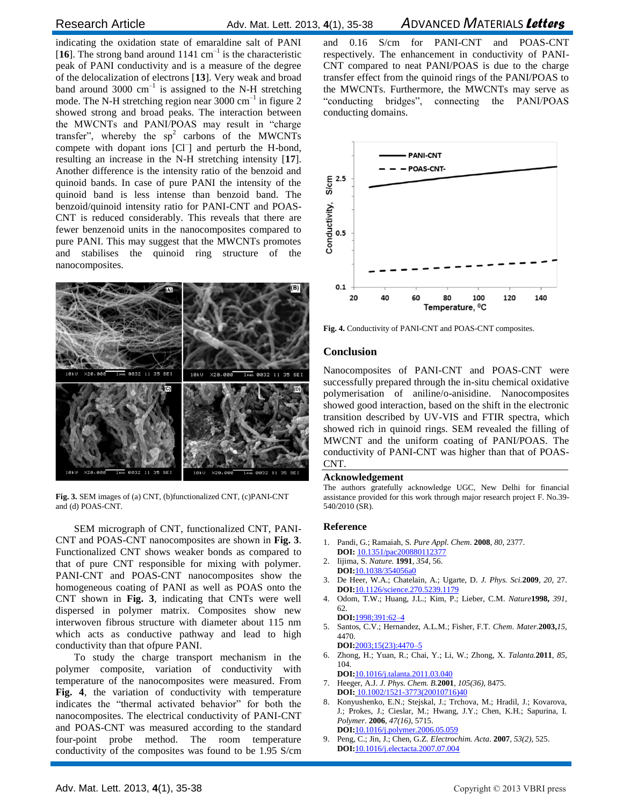indicating the oxidation state of emaraldine salt of PANI [16]. The strong band around  $1141 \text{ cm}^{-1}$  is the characteristic peak of PANI conductivity and is a measure of the degree of the delocalization of electrons [**13**]. Very weak and broad band around 3000  $cm^{-1}$  is assigned to the N-H stretching mode. The N-H stretching region near 3000  $\text{cm}^{-1}$  in figure 2 showed strong and broad peaks. The interaction between the MWCNTs and PANI/POAS may result in "charge transfer", whereby the  $sp<sup>2</sup>$  carbons of the MWCNTs compete with dopant ions [Cl<sup>-</sup>] and perturb the H-bond, resulting an increase in the N-H stretching intensity [**17**]. Another difference is the intensity ratio of the benzoid and quinoid bands. In case of pure PANI the intensity of the quinoid band is less intense than benzoid band. The benzoid/quinoid intensity ratio for PANI-CNT and POAS-CNT is reduced considerably. This reveals that there are fewer benzenoid units in the nanocomposites compared to pure PANI. This may suggest that the MWCNTs promotes and stabilises the quinoid ring structure of the nanocomposites.



**Fig. 3.** SEM images of (a) CNT, (b)functionalized CNT, (c)PANI-CNT and (d) POAS-CNT.

SEM micrograph of CNT, functionalized CNT, PANI-CNT and POAS-CNT nanocomposites are shown in **Fig. 3**. Functionalized CNT shows weaker bonds as compared to that of pure CNT responsible for mixing with polymer. PANI-CNT and POAS-CNT nanocomposites show the homogeneous coating of PANI as well as POAS onto the CNT shown in **Fig. 3**, indicating that CNTs were well dispersed in polymer matrix. Composites show new interwoven fibrous structure with diameter about 115 nm which acts as conductive pathway and lead to high conductivity than that ofpure PANI.

To study the charge transport mechanism in the polymer composite, variation of conductivity with temperature of the nanocomposites were measured. From **Fig. 4**, the variation of conductivity with temperature indicates the "thermal activated behavior" for both the nanocomposites. The electrical conductivity of PANI-CNT and POAS-CNT was measured according to the standard four-point probe method. The room temperature conductivity of the composites was found to be 1.95 S/cm

and 0.16 S/cm for PANI-CNT and POAS-CNT respectively. The enhancement in conductivity of PANI-CNT compared to neat PANI/POAS is due to the charge transfer effect from the quinoid rings of the PANI/POAS to the MWCNTs. Furthermore, the MWCNTs may serve as "conducting bridges", connecting the PANI/POAS conducting domains.



**Fig. 4.** Conductivity of PANI-CNT and POAS-CNT composites.

#### **Conclusion**

Nanocomposites of PANI-CNT and POAS-CNT were successfully prepared through the in-situ chemical oxidative polymerisation of aniline/o-anisidine. Nanocomposites showed good interaction, based on the shift in the electronic transition described by UV-VIS and FTIR spectra, which showed rich in quinoid rings. SEM revealed the filling of MWCNT and the uniform coating of PANI/POAS. The conductivity of PANI-CNT was higher than that of POAS-CNT.

#### **Acknowledgement**

The authors gratefully acknowledge UGC, New Delhi for financial assistance provided for this work through major research project F. No.39- 540/2010 (SR).

#### **Reference**

- 1. Pandi, G.; Ramaiah, S. *Pure Appl. Chem*. **2008**, *80*, 2377. **DOI:** 10.1351/pac200880112377
- 2. Iijima, S. *Nature.* **1991**, *354*, 56.
- **DOI:**10.1038/354056a0 3. De Heer, W.A.; Chatelain, A.; Ugarte, D. *J. Phys. Sci.***2009**, *20,* 27.
- **DOI:**10.1126/science.270.5239.1179 4. Odom, T.W.; Huang, J.L.; Kim, P.; Lieber, C.M. *Nature***1998,** *391,*
- 62. **DOI:**1998;391:62–4 5. Santos, C.V.; Hernandez, A.L.M.; Fisher, F.T. *Chem*. *Mater.***2003,***15*,

4470. **DOI:**2003;15(23):4470–5

- 6. Zhong, H.; Yuan, R.; Chai, Y.; Li, W.; Zhong, X. *Talanta.***2011**, *85*, 104.
- **DOI:**10.1016/j.talanta.2011.03.040 7. Heeger, A.J. *J. Phys. Chem. B.***2001**, *105(36),* 8475. **DOI:** 10.1002/1521-3773(20010716)40
- 8. Konyushenko, E.N.; Stejskal, J.; Trchova, M.; Hradil, J.; Kovarova, J.; Prokes, J.; Cieslar, M.; Hwang, J.Y.; Chen, K.H.; Sapurina, I. *Polymer*. **2006**, *47(16),* 5715. **DOI:**[10.1016/j.polymer.2006.05.059](http://dx.doi.org/10.1016/j.polymer.2006.05.059)
- 9. Peng, C.; Jin, J.; Chen, G.Z. *Electrochim. Acta*. **2007**, *53(2),* 525. **DOI:**[10.1016/j.electacta.2007.07.004](http://dx.doi.org/10.1016/j.electacta.2007.07.004)